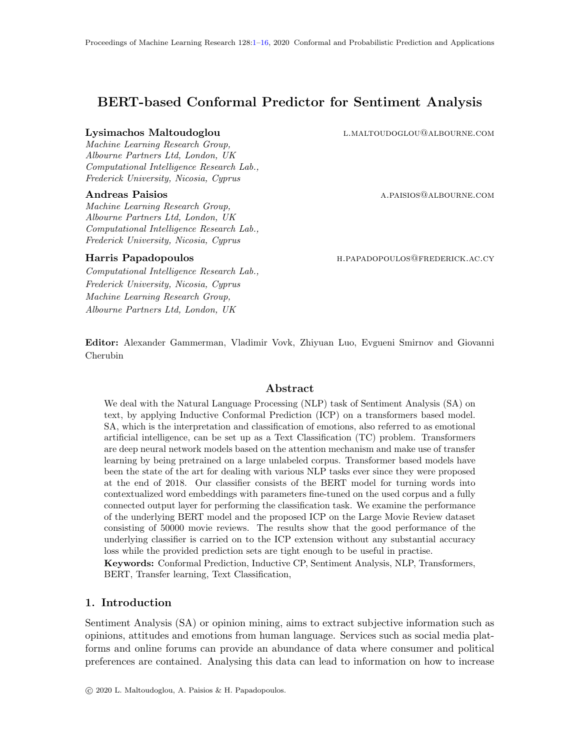# <span id="page-0-0"></span>BERT-based Conformal Predictor for Sentiment Analysis

#### Lysimachos Maltoudoglou L.MALTOUDOGLOU@ALBOURNE.COM

Machine Learning Research Group, Albourne Partners Ltd, London, UK Computational Intelligence Research Lab., Frederick University, Nicosia, Cyprus

#### Andreas Paisios a.paisios a.paisios a.paisios a.paisios a.paisios a.paisios a.paisios a.paisios a.p

Machine Learning Research Group, Albourne Partners Ltd, London, UK Computational Intelligence Research Lab., Frederick University, Nicosia, Cyprus

Computational Intelligence Research Lab., Frederick University, Nicosia, Cyprus Machine Learning Research Group, Albourne Partners Ltd, London, UK

Harris Papadopoulos h.papadopoulos h.papadopoulos h.papadopoulos h.papadopoulos h.papadopoulos h.papadopoulos h

Editor: Alexander Gammerman, Vladimir Vovk, Zhiyuan Luo, Evgueni Smirnov and Giovanni Cherubin

## Abstract

We deal with the Natural Language Processing (NLP) task of Sentiment Analysis (SA) on text, by applying Inductive Conformal Prediction (ICP) on a transformers based model. SA, which is the interpretation and classification of emotions, also referred to as emotional artificial intelligence, can be set up as a Text Classification (TC) problem. Transformers are deep neural network models based on the attention mechanism and make use of transfer learning by being pretrained on a large unlabeled corpus. Transformer based models have been the state of the art for dealing with various NLP tasks ever since they were proposed at the end of 2018. Our classifier consists of the BERT model for turning words into contextualized word embeddings with parameters fine-tuned on the used corpus and a fully connected output layer for performing the classification task. We examine the performance of the underlying BERT model and the proposed ICP on the Large Movie Review dataset consisting of 50000 movie reviews. The results show that the good performance of the underlying classifier is carried on to the ICP extension without any substantial accuracy loss while the provided prediction sets are tight enough to be useful in practise.

Keywords: Conformal Prediction, Inductive CP, Sentiment Analysis, NLP, Transformers, BERT, Transfer learning, Text Classification,

## 1. Introduction

Sentiment Analysis (SA) or opinion mining, aims to extract subjective information such as opinions, attitudes and emotions from human language. Services such as social media platforms and online forums can provide an abundance of data where consumer and political preferences are contained. Analysing this data can lead to information on how to increase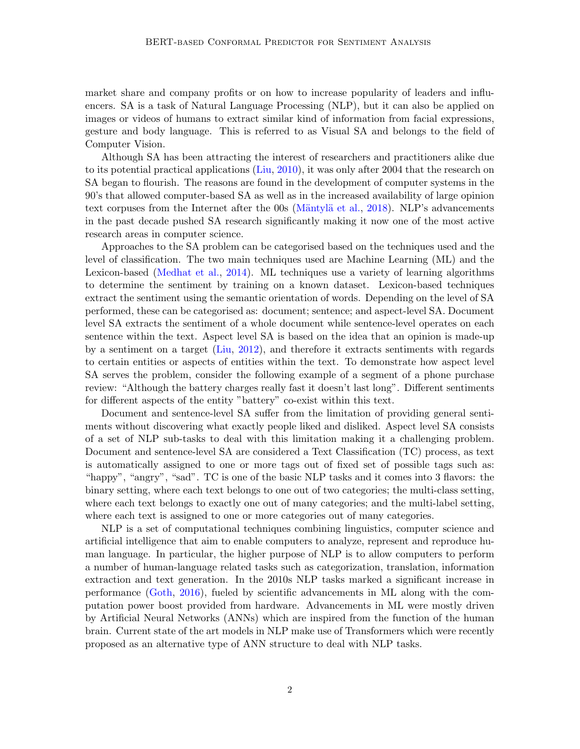market share and company profits or on how to increase popularity of leaders and influencers. SA is a task of Natural Language Processing (NLP), but it can also be applied on images or videos of humans to extract similar kind of information from facial expressions, gesture and body language. This is referred to as Visual SA and belongs to the field of Computer Vision.

Although SA has been attracting the interest of researchers and practitioners alike due to its potential practical applications [\(Liu,](#page-13-0) [2010\)](#page-13-0), it was only after 2004 that the research on SA began to flourish. The reasons are found in the development of computer systems in the 90's that allowed computer-based SA as well as in the increased availability of large opinion text corpuses from the Internet after the 00s (Mäntylä et al., [2018\)](#page-14-0). NLP's advancements in the past decade pushed SA research significantly making it now one of the most active research areas in computer science.

Approaches to the SA problem can be categorised based on the techniques used and the level of classification. The two main techniques used are Machine Learning (ML) and the Lexicon-based [\(Medhat et al.,](#page-14-1) [2014\)](#page-14-1). ML techniques use a variety of learning algorithms to determine the sentiment by training on a known dataset. Lexicon-based techniques extract the sentiment using the semantic orientation of words. Depending on the level of SA performed, these can be categorised as: document; sentence; and aspect-level SA. Document level SA extracts the sentiment of a whole document while sentence-level operates on each sentence within the text. Aspect level SA is based on the idea that an opinion is made-up by a sentiment on a target [\(Liu,](#page-13-1) [2012\)](#page-13-1), and therefore it extracts sentiments with regards to certain entities or aspects of entities within the text. To demonstrate how aspect level SA serves the problem, consider the following example of a segment of a phone purchase review: "Although the battery charges really fast it doesn't last long". Different sentiments for different aspects of the entity "battery" co-exist within this text.

Document and sentence-level SA suffer from the limitation of providing general sentiments without discovering what exactly people liked and disliked. Aspect level SA consists of a set of NLP sub-tasks to deal with this limitation making it a challenging problem. Document and sentence-level SA are considered a Text Classification (TC) process, as text is automatically assigned to one or more tags out of fixed set of possible tags such as: "happy", "angry", "sad". TC is one of the basic NLP tasks and it comes into 3 flavors: the binary setting, where each text belongs to one out of two categories; the multi-class setting, where each text belongs to exactly one out of many categories; and the multi-label setting, where each text is assigned to one or more categories out of many categories.

NLP is a set of computational techniques combining linguistics, computer science and artificial intelligence that aim to enable computers to analyze, represent and reproduce human language. In particular, the higher purpose of NLP is to allow computers to perform a number of human-language related tasks such as categorization, translation, information extraction and text generation. In the 2010s NLP tasks marked a significant increase in performance [\(Goth,](#page-13-2) [2016\)](#page-13-2), fueled by scientific advancements in ML along with the computation power boost provided from hardware. Advancements in ML were mostly driven by Artificial Neural Networks (ANNs) which are inspired from the function of the human brain. Current state of the art models in NLP make use of Transformers which were recently proposed as an alternative type of ANN structure to deal with NLP tasks.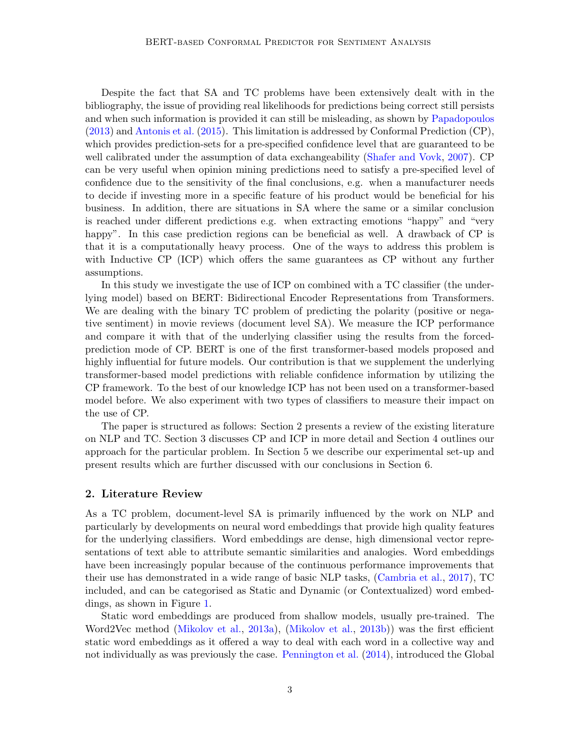Despite the fact that SA and TC problems have been extensively dealt with in the bibliography, the issue of providing real likelihoods for predictions being correct still persists and when such information is provided it can still be misleading, as shown by [Papadopoulos](#page-14-2) [\(2013\)](#page-14-2) and [Antonis et al.](#page-13-3) [\(2015\)](#page-13-3). This limitation is addressed by Conformal Prediction (CP), which provides prediction-sets for a pre-specified confidence level that are guaranteed to be well calibrated under the assumption of data exchangeability [\(Shafer and Vovk,](#page-14-3) [2007\)](#page-14-3). CP can be very useful when opinion mining predictions need to satisfy a pre-specified level of confidence due to the sensitivity of the final conclusions, e.g. when a manufacturer needs to decide if investing more in a specific feature of his product would be beneficial for his business. In addition, there are situations in SA where the same or a similar conclusion is reached under different predictions e.g. when extracting emotions "happy" and "very happy". In this case prediction regions can be beneficial as well. A drawback of CP is that it is a computationally heavy process. One of the ways to address this problem is with Inductive CP (ICP) which offers the same guarantees as CP without any further assumptions.

In this study we investigate the use of ICP on combined with a TC classifier (the underlying model) based on BERT: Bidirectional Encoder Representations from Transformers. We are dealing with the binary TC problem of predicting the polarity (positive or negative sentiment) in movie reviews (document level SA). We measure the ICP performance and compare it with that of the underlying classifier using the results from the forcedprediction mode of CP. BERT is one of the first transformer-based models proposed and highly influential for future models. Our contribution is that we supplement the underlying transformer-based model predictions with reliable confidence information by utilizing the CP framework. To the best of our knowledge ICP has not been used on a transformer-based model before. We also experiment with two types of classifiers to measure their impact on the use of CP.

The paper is structured as follows: Section 2 presents a review of the existing literature on NLP and TC. Section 3 discusses CP and ICP in more detail and Section 4 outlines our approach for the particular problem. In Section 5 we describe our experimental set-up and present results which are further discussed with our conclusions in Section 6.

## 2. Literature Review

As a TC problem, document-level SA is primarily influenced by the work on NLP and particularly by developments on neural word embeddings that provide high quality features for the underlying classifiers. Word embeddings are dense, high dimensional vector representations of text able to attribute semantic similarities and analogies. Word embeddings have been increasingly popular because of the continuous performance improvements that their use has demonstrated in a wide range of basic NLP tasks, [\(Cambria et al.,](#page-13-4) [2017\)](#page-13-4), TC included, and can be categorised as Static and Dynamic (or Contextualized) word embeddings, as shown in Figure [1.](#page-3-0)

Static word embeddings are produced from shallow models, usually pre-trained. The Word2Vec method [\(Mikolov et al.,](#page-14-4) [2013a\)](#page-14-4), [\(Mikolov et al.,](#page-14-5) [2013b\)](#page-14-5)) was the first efficient static word embeddings as it offered a way to deal with each word in a collective way and not individually as was previously the case. [Pennington et al.](#page-14-6) [\(2014\)](#page-14-6), introduced the Global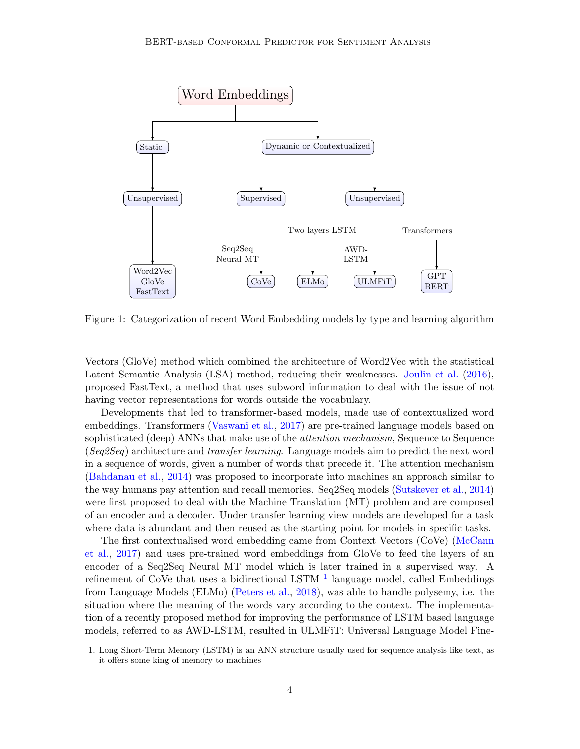

<span id="page-3-0"></span>Figure 1: Categorization of recent Word Embedding models by type and learning algorithm

Vectors (GloVe) method which combined the architecture of Word2Vec with the statistical Latent Semantic Analysis (LSA) method, reducing their weaknesses. [Joulin et al.](#page-13-5) [\(2016\)](#page-13-5), proposed FastText, a method that uses subword information to deal with the issue of not having vector representations for words outside the vocabulary.

Developments that led to transformer-based models, made use of contextualized word embeddings. Transformers [\(Vaswani et al.,](#page-15-1) [2017\)](#page-15-1) are pre-trained language models based on sophisticated (deep) ANNs that make use of the *attention mechanism*, Sequence to Sequence (Seq2Seq) architecture and transfer learning. Language models aim to predict the next word in a sequence of words, given a number of words that precede it. The attention mechanism [\(Bahdanau et al.,](#page-13-6) [2014\)](#page-13-6) was proposed to incorporate into machines an approach similar to the way humans pay attention and recall memories. Seq2Seq models [\(Sutskever et al.,](#page-15-2) [2014\)](#page-15-2) were first proposed to deal with the Machine Translation (MT) problem and are composed of an encoder and a decoder. Under transfer learning view models are developed for a task where data is abundant and then reused as the starting point for models in specific tasks.

The first contextualised word embedding came from Context Vectors (CoVe) [\(McCann](#page-14-7) [et al.,](#page-14-7) [2017\)](#page-14-7) and uses pre-trained word embeddings from GloVe to feed the layers of an encoder of a Seq2Seq Neural MT model which is later trained in a supervised way. A refinement of CoVe that uses a bidirectional LSTM  $<sup>1</sup>$  $<sup>1</sup>$  $<sup>1</sup>$  language model, called Embeddings</sup> from Language Models (ELMo) [\(Peters et al.,](#page-14-8) [2018\)](#page-14-8), was able to handle polysemy, i.e. the situation where the meaning of the words vary according to the context. The implementation of a recently proposed method for improving the performance of LSTM based language models, referred to as AWD-LSTM, resulted in ULMFiT: Universal Language Model Fine-

<span id="page-3-1"></span><sup>1.</sup> Long Short-Term Memory (LSTM) is an ANN structure usually used for sequence analysis like text, as it offers some king of memory to machines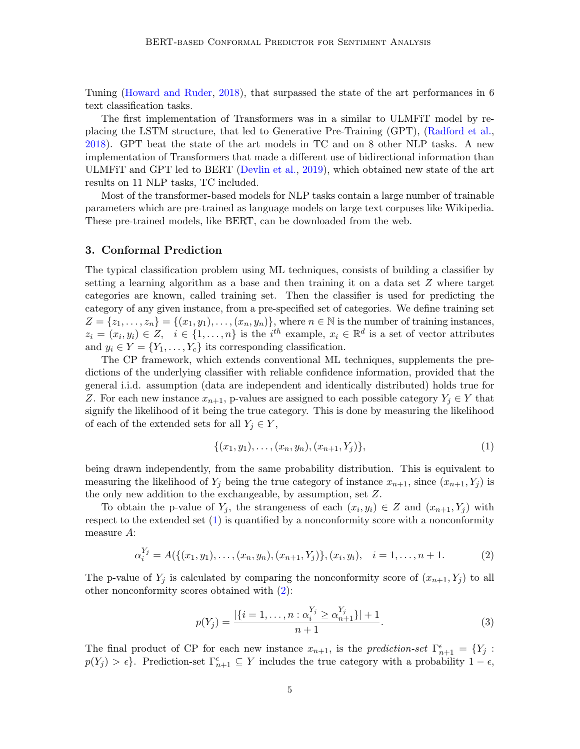Tuning [\(Howard and Ruder,](#page-13-7) [2018\)](#page-13-7), that surpassed the state of the art performances in 6 text classification tasks.

The first implementation of Transformers was in a similar to ULMFiT model by replacing the LSTM structure, that led to Generative Pre-Training (GPT), [\(Radford et al.,](#page-14-9) [2018\)](#page-14-9). GPT beat the state of the art models in TC and on 8 other NLP tasks. A new implementation of Transformers that made a different use of bidirectional information than ULMFiT and GPT led to BERT [\(Devlin et al.,](#page-13-8) [2019\)](#page-13-8), which obtained new state of the art results on 11 NLP tasks, TC included.

Most of the transformer-based models for NLP tasks contain a large number of trainable parameters which are pre-trained as language models on large text corpuses like Wikipedia. These pre-trained models, like BERT, can be downloaded from the web.

## 3. Conformal Prediction

The typical classification problem using ML techniques, consists of building a classifier by setting a learning algorithm as a base and then training it on a data set Z where target categories are known, called training set. Then the classifier is used for predicting the category of any given instance, from a pre-specified set of categories. We define training set  $Z = \{z_1, \ldots, z_n\} = \{(x_1, y_1), \ldots, (x_n, y_n)\}\$ , where  $n \in \mathbb{N}$  is the number of training instances,  $z_i = (x_i, y_i) \in Z$ ,  $i \in \{1, ..., n\}$  is the  $i^{th}$  example,  $x_i \in \mathbb{R}^d$  is a set of vector attributes and  $y_i \in Y = \{Y_1, \ldots, Y_c\}$  its corresponding classification.

The CP framework, which extends conventional ML techniques, supplements the predictions of the underlying classifier with reliable confidence information, provided that the general i.i.d. assumption (data are independent and identically distributed) holds true for Z. For each new instance  $x_{n+1}$ , p-values are assigned to each possible category  $Y_j \in Y$  that signify the likelihood of it being the true category. This is done by measuring the likelihood of each of the extended sets for all  $Y_j \in Y$ ,

<span id="page-4-0"></span>
$$
\{(x_1, y_1), \ldots, (x_n, y_n), (x_{n+1}, Y_j)\},\tag{1}
$$

being drawn independently, from the same probability distribution. This is equivalent to measuring the likelihood of  $Y_j$  being the true category of instance  $x_{n+1}$ , since  $(x_{n+1}, Y_j)$  is the only new addition to the exchangeable, by assumption, set Z.

To obtain the p-value of  $Y_j$ , the strangeness of each  $(x_i, y_i) \in Z$  and  $(x_{n+1}, Y_j)$  with respect to the extended set [\(1\)](#page-4-0) is quantified by a nonconformity score with a nonconformity measure A:

<span id="page-4-1"></span>
$$
\alpha_i^{Y_j} = A(\{(x_1, y_1), \dots, (x_n, y_n), (x_{n+1}, Y_j)\}, (x_i, y_i), \quad i = 1, \dots, n+1. \tag{2}
$$

The p-value of  $Y_i$  is calculated by comparing the nonconformity score of  $(x_{n+1}, Y_i)$  to all other nonconformity scores obtained with [\(2\)](#page-4-1):

<span id="page-4-2"></span>
$$
p(Y_j) = \frac{|\{i = 1, \dots, n : \alpha_i^{Y_j} \ge \alpha_{n+1}^{Y_j}\}| + 1}{n+1}.
$$
\n(3)

The final product of CP for each new instance  $x_{n+1}$ , is the prediction-set  $\Gamma_{n+1}^{\epsilon} = \{Y_j :$  $p(Y_j) > \epsilon$ . Prediction-set  $\Gamma_{n+1}^{\epsilon} \subseteq Y$  includes the true category with a probability  $1 - \epsilon$ ,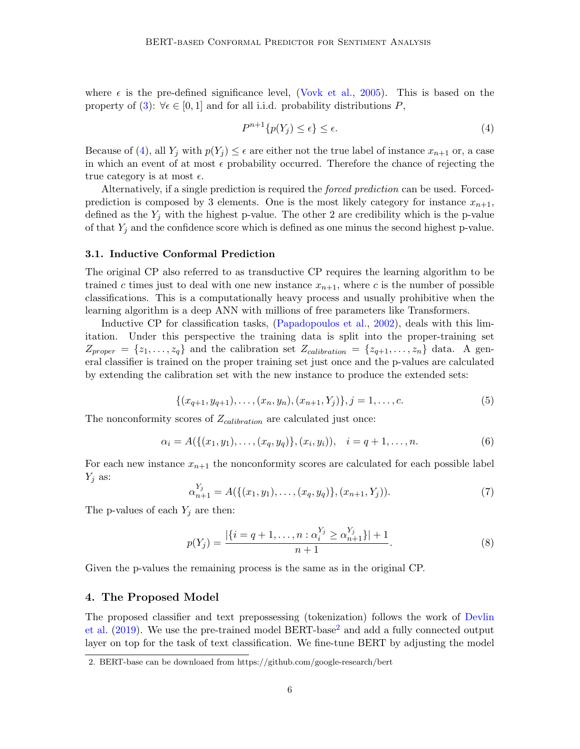where  $\epsilon$  is the pre-defined significance level, [\(Vovk et al.,](#page-15-3) [2005\)](#page-15-3). This is based on the property of [\(3\)](#page-4-2):  $\forall \epsilon \in [0,1]$  and for all i.i.d. probability distributions P,

<span id="page-5-0"></span>
$$
P^{n+1}\{p(Y_j) \le \epsilon\} \le \epsilon. \tag{4}
$$

Because of [\(4\)](#page-5-0), all  $Y_i$  with  $p(Y_i) \leq \epsilon$  are either not the true label of instance  $x_{n+1}$  or, a case in which an event of at most  $\epsilon$  probability occurred. Therefore the chance of rejecting the true category is at most  $\epsilon$ .

Alternatively, if a single prediction is required the forced prediction can be used. Forcedprediction is composed by 3 elements. One is the most likely category for instance  $x_{n+1}$ , defined as the  $Y_j$  with the highest p-value. The other 2 are credibility which is the p-value of that  $Y_i$  and the confidence score which is defined as one minus the second highest p-value.

#### 3.1. Inductive Conformal Prediction

The original CP also referred to as transductive CP requires the learning algorithm to be trained c times just to deal with one new instance  $x_{n+1}$ , where c is the number of possible classifications. This is a computationally heavy process and usually prohibitive when the learning algorithm is a deep ANN with millions of free parameters like Transformers.

Inductive CP for classification tasks, [\(Papadopoulos et al.,](#page-14-10) [2002\)](#page-14-10), deals with this limitation. Under this perspective the training data is split into the proper-training set  $Z_{proper} = \{z_1, \ldots, z_q\}$  and the calibration set  $Z_{calibration} = \{z_{q+1}, \ldots, z_n\}$  data. A general classifier is trained on the proper training set just once and the p-values are calculated by extending the calibration set with the new instance to produce the extended sets:

$$
\{(x_{q+1}, y_{q+1}), \dots, (x_n, y_n), (x_{n+1}, Y_j)\}, j = 1, \dots, c.
$$
\n<sup>(5)</sup>

The nonconformity scores of  $Z_{calibration}$  are calculated just once:

$$
\alpha_i = A(\{(x_1, y_1), \dots, (x_q, y_q)\}, (x_i, y_i)), \quad i = q + 1, \dots, n.
$$
\n(6)

For each new instance  $x_{n+1}$  the nonconformity scores are calculated for each possible label  $Y_j$  as:

$$
\alpha_{n+1}^{Y_j} = A(\{(x_1, y_1), \dots, (x_q, y_q)\}, (x_{n+1}, Y_j)).
$$
\n(7)

The p-values of each  $Y_i$  are then:

$$
p(Y_j) = \frac{|\{i = q+1, \dots, n : \alpha_i^{Y_j} \ge \alpha_{n+1}^{Y_j}\}| + 1}{n+1}.
$$
\n(8)

Given the p-values the remaining process is the same as in the original CP.

## 4. The Proposed Model

The proposed classifier and text prepossessing (tokenization) follows the work of [Devlin](#page-13-8) [et al.](#page-13-8)  $(2019)$ . We use the pre-trained model BERT-base<sup>[2](#page-5-1)</sup> and add a fully connected output layer on top for the task of text classification. We fine-tune BERT by adjusting the model

<span id="page-5-1"></span><sup>2.</sup> BERT-base can be downloaed from https://github.com/google-research/bert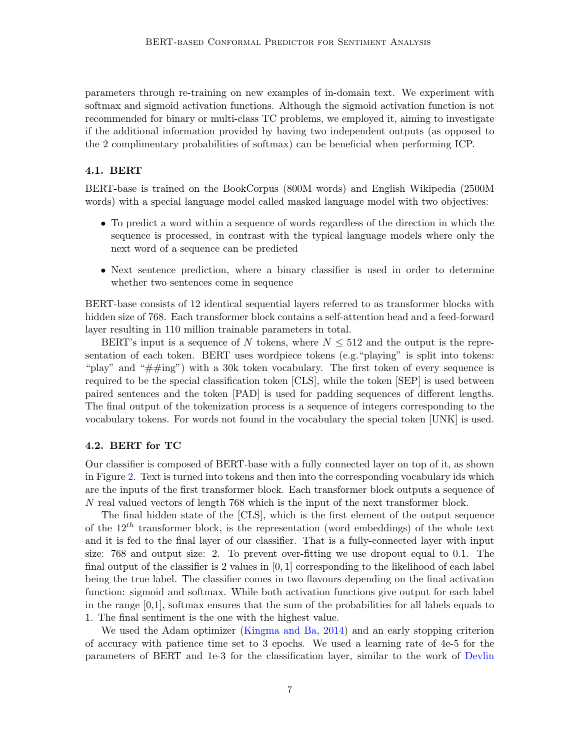parameters through re-training on new examples of in-domain text. We experiment with softmax and sigmoid activation functions. Although the sigmoid activation function is not recommended for binary or multi-class TC problems, we employed it, aiming to investigate if the additional information provided by having two independent outputs (as opposed to the 2 complimentary probabilities of softmax) can be beneficial when performing ICP.

## 4.1. BERT

BERT-base is trained on the BookCorpus (800M words) and English Wikipedia (2500M words) with a special language model called masked language model with two objectives:

- To predict a word within a sequence of words regardless of the direction in which the sequence is processed, in contrast with the typical language models where only the next word of a sequence can be predicted
- Next sentence prediction, where a binary classifier is used in order to determine whether two sentences come in sequence

BERT-base consists of 12 identical sequential layers referred to as transformer blocks with hidden size of 768. Each transformer block contains a self-attention head and a feed-forward layer resulting in 110 million trainable parameters in total.

BERT's input is a sequence of N tokens, where  $N \leq 512$  and the output is the representation of each token. BERT uses wordpiece tokens (e.g."playing" is split into tokens: "play" and "##ing") with a 30k token vocabulary. The first token of every sequence is required to be the special classification token [CLS], while the token [SEP] is used between paired sentences and the token [PAD] is used for padding sequences of different lengths. The final output of the tokenization process is a sequence of integers corresponding to the vocabulary tokens. For words not found in the vocabulary the special token [UNK] is used.

#### 4.2. BERT for TC

Our classifier is composed of BERT-base with a fully connected layer on top of it, as shown in Figure [2.](#page-7-0) Text is turned into tokens and then into the corresponding vocabulary ids which are the inputs of the first transformer block. Each transformer block outputs a sequence of N real valued vectors of length 768 which is the input of the next transformer block.

The final hidden state of the [CLS], which is the first element of the output sequence of the  $12^{th}$  transformer block, is the representation (word embeddings) of the whole text and it is fed to the final layer of our classifier. That is a fully-connected layer with input size: 768 and output size: 2. To prevent over-fitting we use dropout equal to 0.1. The final output of the classifier is 2 values in  $[0, 1]$  corresponding to the likelihood of each label being the true label. The classifier comes in two flavours depending on the final activation function: sigmoid and softmax. While both activation functions give output for each label in the range [0,1], softmax ensures that the sum of the probabilities for all labels equals to 1. The final sentiment is the one with the highest value.

We used the Adam optimizer [\(Kingma and Ba,](#page-13-9) [2014\)](#page-13-9) and an early stopping criterion of accuracy with patience time set to 3 epochs. We used a learning rate of 4e-5 for the parameters of BERT and 1e-3 for the classification layer, similar to the work of [Devlin](#page-13-8)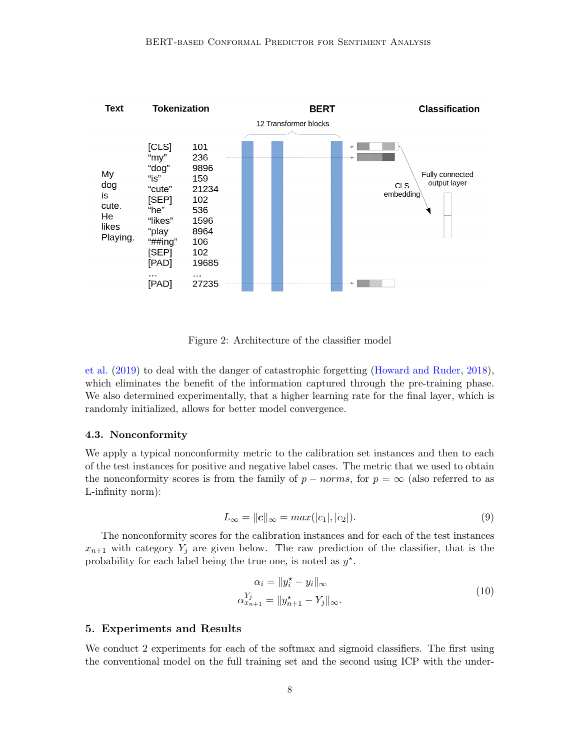

<span id="page-7-0"></span>Figure 2: Architecture of the classifier model

[et al.](#page-13-8) [\(2019\)](#page-13-8) to deal with the danger of catastrophic forgetting [\(Howard and Ruder,](#page-13-7) [2018\)](#page-13-7), which eliminates the benefit of the information captured through the pre-training phase. We also determined experimentally, that a higher learning rate for the final layer, which is randomly initialized, allows for better model convergence.

#### 4.3. Nonconformity

We apply a typical nonconformity metric to the calibration set instances and then to each of the test instances for positive and negative label cases. The metric that we used to obtain the nonconformity scores is from the family of  $p-norms$ , for  $p = \infty$  (also referred to as L-infinity norm):

$$
L_{\infty} = ||c||_{\infty} = max(|c_1|, |c_2|).
$$
\n(9)

The nonconformity scores for the calibration instances and for each of the test instances  $x_{n+1}$  with category  $Y_j$  are given below. The raw prediction of the classifier, that is the probability for each label being the true one, is noted as  $y^*$ .

$$
\alpha_i = \|y_i^* - y_i\|_{\infty} \n\alpha_{x_{n+1}}^{Y_j} = \|y_{n+1}^* - Y_j\|_{\infty}.
$$
\n(10)

## 5. Experiments and Results

We conduct 2 experiments for each of the softmax and sigmoid classifiers. The first using the conventional model on the full training set and the second using ICP with the under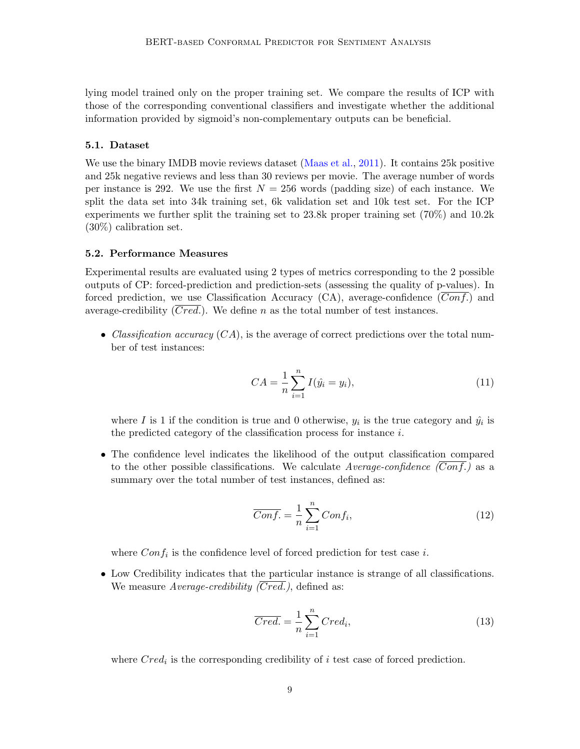lying model trained only on the proper training set. We compare the results of ICP with those of the corresponding conventional classifiers and investigate whether the additional information provided by sigmoid's non-complementary outputs can be beneficial.

#### 5.1. Dataset

We use the binary IMDB movie reviews dataset [\(Maas et al.,](#page-13-10) [2011\)](#page-13-10). It contains 25k positive and 25k negative reviews and less than 30 reviews per movie. The average number of words per instance is 292. We use the first  $N = 256$  words (padding size) of each instance. We split the data set into 34k training set, 6k validation set and 10k test set. For the ICP experiments we further split the training set to 23.8k proper training set  $(70\%)$  and  $10.2k$ (30%) calibration set.

#### 5.2. Performance Measures

Experimental results are evaluated using 2 types of metrics corresponding to the 2 possible outputs of CP: forced-prediction and prediction-sets (assessing the quality of p-values). In forced prediction, we use Classification Accuracy  $(CA)$ , average-confidence  $(Con f.)$  and average-credibility  $(Cred.)$ . We define n as the total number of test instances.

• Classification accuracy  $(CA)$ , is the average of correct predictions over the total number of test instances:

$$
CA = \frac{1}{n} \sum_{i=1}^{n} I(\hat{y}_i = y_i),
$$
\n(11)

where I is 1 if the condition is true and 0 otherwise,  $y_i$  is the true category and  $\hat{y}_i$  is the predicted category of the classification process for instance i.

• The confidence level indicates the likelihood of the output classification compared to the other possible classifications. We calculate Average-confidence  $(\overline{Conf.})$  as a summary over the total number of test instances, defined as:

$$
\overline{Conf.} = \frac{1}{n} \sum_{i=1}^{n} Conf_i,
$$
\n(12)

where  $Conf_i$  is the confidence level of forced prediction for test case i.

• Low Credibility indicates that the particular instance is strange of all classifications. We measure *Average-credibility (Cred.)*, defined as:

$$
\overline{Cred.} = \frac{1}{n} \sum_{i=1}^{n} Cred_i,
$$
\n(13)

where  $Cred_i$  is the corresponding credibility of i test case of forced prediction.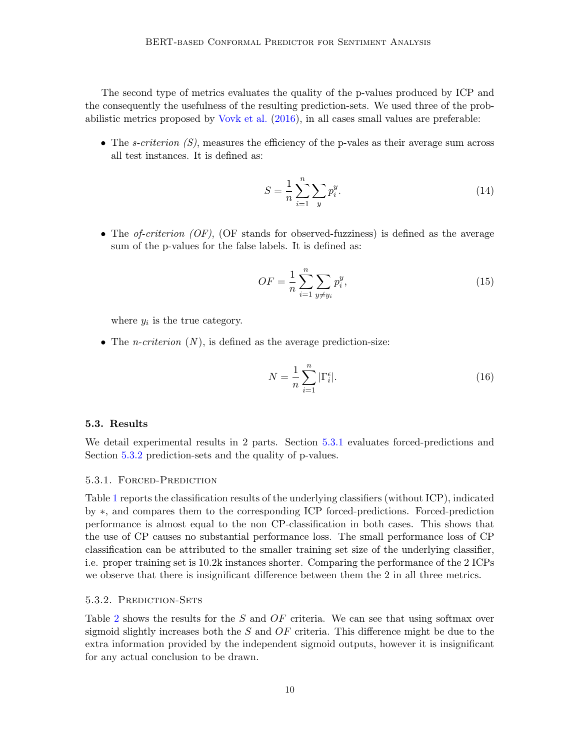The second type of metrics evaluates the quality of the p-values produced by ICP and the consequently the usefulness of the resulting prediction-sets. We used three of the probabilistic metrics proposed by [Vovk et al.](#page-15-4) [\(2016\)](#page-15-4), in all cases small values are preferable:

• The *s-criterion*  $(S)$ , measures the efficiency of the p-vales as their average sum across all test instances. It is defined as:

$$
S = \frac{1}{n} \sum_{i=1}^{n} \sum_{y} p_i^y.
$$
 (14)

• The *of-criterion (OF)*, (OF stands for observed-fuzziness) is defined as the average sum of the p-values for the false labels. It is defined as:

$$
OF = \frac{1}{n} \sum_{i=1}^{n} \sum_{y \neq y_i} p_i^y,
$$
\n(15)

where  $y_i$  is the true category.

• The *n-criterion*  $(N)$ , is defined as the average prediction-size:

$$
N = \frac{1}{n} \sum_{i=1}^{n} |\Gamma_i^{\epsilon}|. \tag{16}
$$

#### 5.3. Results

We detail experimental results in 2 parts. Section [5.3.1](#page-9-0) evaluates forced-predictions and Section [5.3.2](#page-9-1) prediction-sets and the quality of p-values.

#### <span id="page-9-0"></span>5.3.1. Forced-Prediction

Table [1](#page-10-0) reports the classification results of the underlying classifiers (without ICP), indicated by ∗, and compares them to the corresponding ICP forced-predictions. Forced-prediction performance is almost equal to the non CP-classification in both cases. This shows that the use of CP causes no substantial performance loss. The small performance loss of CP classification can be attributed to the smaller training set size of the underlying classifier, i.e. proper training set is 10.2k instances shorter. Comparing the performance of the 2 ICPs we observe that there is insignificant difference between them the 2 in all three metrics.

#### <span id="page-9-1"></span>5.3.2. Prediction-Sets

Table [2](#page-10-1) shows the results for the  $S$  and  $\overline{OF}$  criteria. We can see that using softmax over sigmoid slightly increases both the S and  $OF$  criteria. This difference might be due to the extra information provided by the independent sigmoid outputs, however it is insignificant for any actual conclusion to be drawn.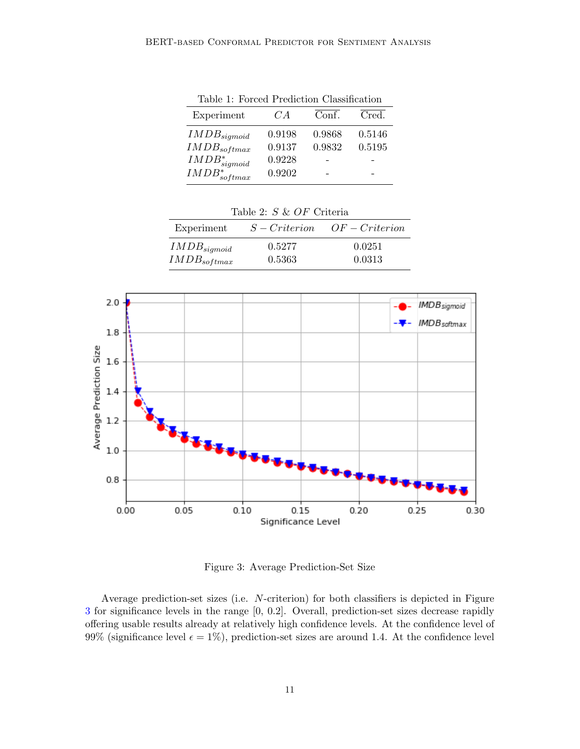<span id="page-10-0"></span>

| тари т. тогоод г годилин спаршоалын      |        |        |        |
|------------------------------------------|--------|--------|--------|
| Experiment                               | CA     | Conf.  | Cred.  |
| $IMDB_{sigmoid}$                         | 0.9198 | 0.9868 | 0.5146 |
| $IMDB_{softmax}$                         | 0.9137 | 0.9832 | 0.5195 |
|                                          | 0.9228 |        |        |
|                                          | 0.9202 |        |        |
| $IMDB^*_{sigmoid}$<br>$IMDB^*_{softmax}$ |        |        |        |

Table 1: Forced Prediction Classification

<span id="page-10-1"></span>

| Table 2: S & OF Criteria |               |                |  |
|--------------------------|---------------|----------------|--|
| Experiment               | $S-Criterion$ | $OF-Criterion$ |  |
| $IMDB_{sigmoid}$         | 0.5277        | 0.0251         |  |
| $IMDB_{softmax}$         | 0.5363        | 0.0313         |  |



<span id="page-10-2"></span>Figure 3: Average Prediction-Set Size

Average prediction-set sizes (i.e. N-criterion) for both classifiers is depicted in Figure [3](#page-10-2) for significance levels in the range [0, 0.2]. Overall, prediction-set sizes decrease rapidly offering usable results already at relatively high confidence levels. At the confidence level of 99% (significance level  $\epsilon = 1\%$ ), prediction-set sizes are around 1.4. At the confidence level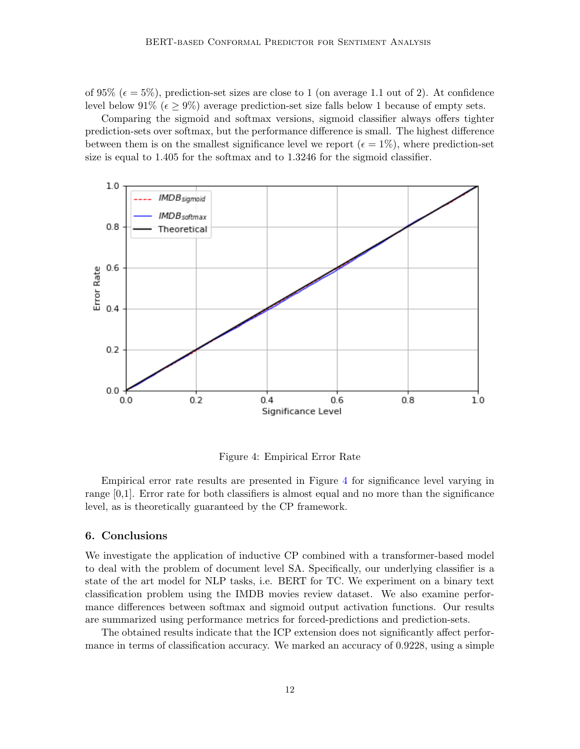of 95% ( $\epsilon = 5\%$ ), prediction-set sizes are close to 1 (on average 1.1 out of 2). At confidence level below 91% ( $\epsilon > 9\%$ ) average prediction-set size falls below 1 because of empty sets.

Comparing the sigmoid and softmax versions, sigmoid classifier always offers tighter prediction-sets over softmax, but the performance difference is small. The highest difference between them is on the smallest significance level we report ( $\epsilon = 1\%$ ), where prediction-set size is equal to 1.405 for the softmax and to 1.3246 for the sigmoid classifier.



<span id="page-11-0"></span>Figure 4: Empirical Error Rate

Empirical error rate results are presented in Figure [4](#page-11-0) for significance level varying in range [0,1]. Error rate for both classifiers is almost equal and no more than the significance level, as is theoretically guaranteed by the CP framework.

## 6. Conclusions

We investigate the application of inductive CP combined with a transformer-based model to deal with the problem of document level SA. Specifically, our underlying classifier is a state of the art model for NLP tasks, i.e. BERT for TC. We experiment on a binary text classification problem using the IMDB movies review dataset. We also examine performance differences between softmax and sigmoid output activation functions. Our results are summarized using performance metrics for forced-predictions and prediction-sets.

The obtained results indicate that the ICP extension does not significantly affect performance in terms of classification accuracy. We marked an accuracy of 0.9228, using a simple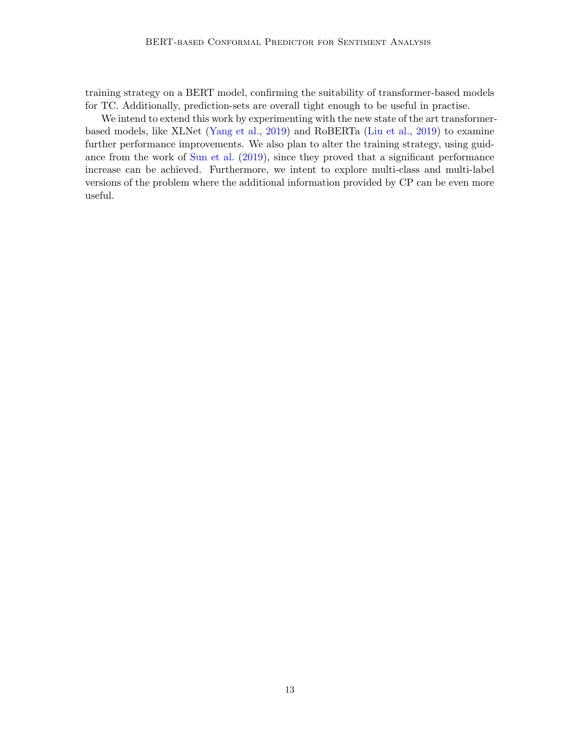training strategy on a BERT model, confirming the suitability of transformer-based models for TC. Additionally, prediction-sets are overall tight enough to be useful in practise.

We intend to extend this work by experimenting with the new state of the art transformerbased models, like XLNet [\(Yang et al.,](#page-15-5) [2019\)](#page-15-5) and RoBERTa [\(Liu et al.,](#page-13-11) [2019\)](#page-13-11) to examine further performance improvements. We also plan to alter the training strategy, using guidance from the work of [Sun et al.](#page-15-6) [\(2019\)](#page-15-6), since they proved that a significant performance increase can be achieved. Furthermore, we intent to explore multi-class and multi-label versions of the problem where the additional information provided by CP can be even more useful.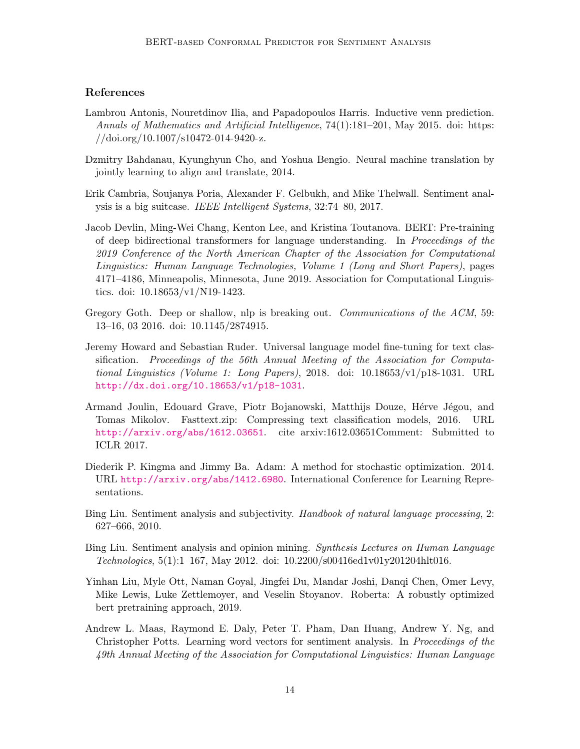## References

- <span id="page-13-3"></span>Lambrou Antonis, Nouretdinov Ilia, and Papadopoulos Harris. Inductive venn prediction. Annals of Mathematics and Artificial Intelligence, 74(1):181–201, May 2015. doi: https:  $// doi.org/10.1007/s10472-014-9420-z.$
- <span id="page-13-6"></span>Dzmitry Bahdanau, Kyunghyun Cho, and Yoshua Bengio. Neural machine translation by jointly learning to align and translate, 2014.
- <span id="page-13-4"></span>Erik Cambria, Soujanya Poria, Alexander F. Gelbukh, and Mike Thelwall. Sentiment analysis is a big suitcase. IEEE Intelligent Systems, 32:74–80, 2017.
- <span id="page-13-8"></span>Jacob Devlin, Ming-Wei Chang, Kenton Lee, and Kristina Toutanova. BERT: Pre-training of deep bidirectional transformers for language understanding. In Proceedings of the 2019 Conference of the North American Chapter of the Association for Computational Linguistics: Human Language Technologies, Volume 1 (Long and Short Papers), pages 4171–4186, Minneapolis, Minnesota, June 2019. Association for Computational Linguistics. doi: 10.18653/v1/N19-1423.
- <span id="page-13-2"></span>Gregory Goth. Deep or shallow, nlp is breaking out. Communications of the ACM, 59: 13–16, 03 2016. doi: 10.1145/2874915.
- <span id="page-13-7"></span>Jeremy Howard and Sebastian Ruder. Universal language model fine-tuning for text classification. Proceedings of the 56th Annual Meeting of the Association for Computational Linguistics (Volume 1: Long Papers), 2018. doi:  $10.18653/v1/p18-1031$ . URL <http://dx.doi.org/10.18653/v1/p18-1031>.
- <span id="page-13-5"></span>Armand Joulin, Edouard Grave, Piotr Bojanowski, Matthijs Douze, Hérve Jégou, and Tomas Mikolov. Fasttext.zip: Compressing text classification models, 2016. URL <http://arxiv.org/abs/1612.03651>. cite arxiv:1612.03651Comment: Submitted to ICLR 2017.
- <span id="page-13-9"></span>Diederik P. Kingma and Jimmy Ba. Adam: A method for stochastic optimization. 2014. URL <http://arxiv.org/abs/1412.6980>. International Conference for Learning Representations.
- <span id="page-13-0"></span>Bing Liu. Sentiment analysis and subjectivity. Handbook of natural language processing, 2: 627–666, 2010.
- <span id="page-13-1"></span>Bing Liu. Sentiment analysis and opinion mining. Synthesis Lectures on Human Language Technologies, 5(1):1–167, May 2012. doi: 10.2200/s00416ed1v01y201204hlt016.
- <span id="page-13-11"></span>Yinhan Liu, Myle Ott, Naman Goyal, Jingfei Du, Mandar Joshi, Danqi Chen, Omer Levy, Mike Lewis, Luke Zettlemoyer, and Veselin Stoyanov. Roberta: A robustly optimized bert pretraining approach, 2019.
- <span id="page-13-10"></span>Andrew L. Maas, Raymond E. Daly, Peter T. Pham, Dan Huang, Andrew Y. Ng, and Christopher Potts. Learning word vectors for sentiment analysis. In Proceedings of the 49th Annual Meeting of the Association for Computational Linguistics: Human Language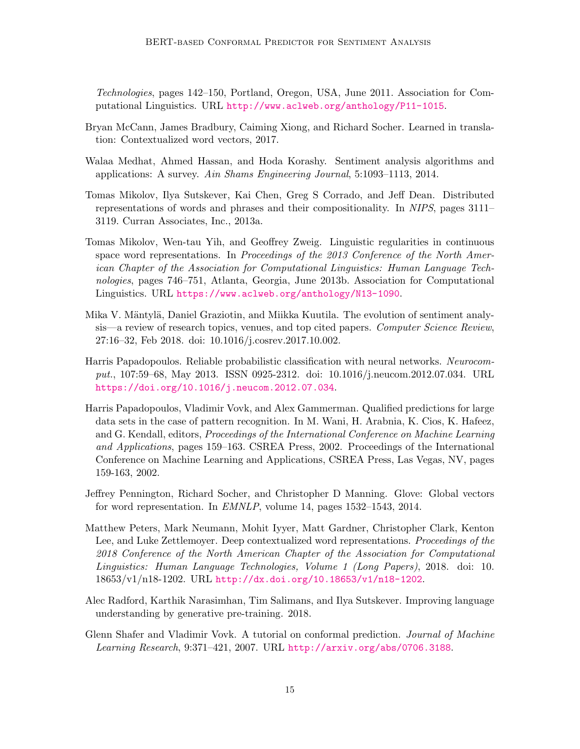Technologies, pages 142–150, Portland, Oregon, USA, June 2011. Association for Computational Linguistics. URL <http://www.aclweb.org/anthology/P11-1015>.

- <span id="page-14-7"></span>Bryan McCann, James Bradbury, Caiming Xiong, and Richard Socher. Learned in translation: Contextualized word vectors, 2017.
- <span id="page-14-1"></span>Walaa Medhat, Ahmed Hassan, and Hoda Korashy. Sentiment analysis algorithms and applications: A survey. Ain Shams Engineering Journal, 5:1093–1113, 2014.
- <span id="page-14-4"></span>Tomas Mikolov, Ilya Sutskever, Kai Chen, Greg S Corrado, and Jeff Dean. Distributed representations of words and phrases and their compositionality. In NIPS, pages 3111– 3119. Curran Associates, Inc., 2013a.
- <span id="page-14-5"></span>Tomas Mikolov, Wen-tau Yih, and Geoffrey Zweig. Linguistic regularities in continuous space word representations. In Proceedings of the 2013 Conference of the North American Chapter of the Association for Computational Linguistics: Human Language Technologies, pages 746–751, Atlanta, Georgia, June 2013b. Association for Computational Linguistics. URL <https://www.aclweb.org/anthology/N13-1090>.
- <span id="page-14-0"></span>Mika V. Mäntylä, Daniel Graziotin, and Miikka Kuutila. The evolution of sentiment analysis—a review of research topics, venues, and top cited papers. Computer Science Review, 27:16–32, Feb 2018. doi: 10.1016/j.cosrev.2017.10.002.
- <span id="page-14-2"></span>Harris Papadopoulos. Reliable probabilistic classification with neural networks. Neurocomput., 107:59–68, May 2013. ISSN 0925-2312. doi: 10.1016/j.neucom.2012.07.034. URL <https://doi.org/10.1016/j.neucom.2012.07.034>.
- <span id="page-14-10"></span>Harris Papadopoulos, Vladimir Vovk, and Alex Gammerman. Qualified predictions for large data sets in the case of pattern recognition. In M. Wani, H. Arabnia, K. Cios, K. Hafeez, and G. Kendall, editors, Proceedings of the International Conference on Machine Learning and Applications, pages 159–163. CSREA Press, 2002. Proceedings of the International Conference on Machine Learning and Applications, CSREA Press, Las Vegas, NV, pages 159-163, 2002.
- <span id="page-14-6"></span>Jeffrey Pennington, Richard Socher, and Christopher D Manning. Glove: Global vectors for word representation. In EMNLP, volume 14, pages 1532–1543, 2014.
- <span id="page-14-8"></span>Matthew Peters, Mark Neumann, Mohit Iyyer, Matt Gardner, Christopher Clark, Kenton Lee, and Luke Zettlemoyer. Deep contextualized word representations. Proceedings of the 2018 Conference of the North American Chapter of the Association for Computational Linguistics: Human Language Technologies, Volume 1 (Long Papers), 2018. doi: 10. 18653/v1/n18-1202. URL <http://dx.doi.org/10.18653/v1/n18-1202>.
- <span id="page-14-9"></span>Alec Radford, Karthik Narasimhan, Tim Salimans, and Ilya Sutskever. Improving language understanding by generative pre-training. 2018.
- <span id="page-14-3"></span>Glenn Shafer and Vladimir Vovk. A tutorial on conformal prediction. Journal of Machine Learning Research, 9:371–421, 2007. URL <http://arxiv.org/abs/0706.3188>.